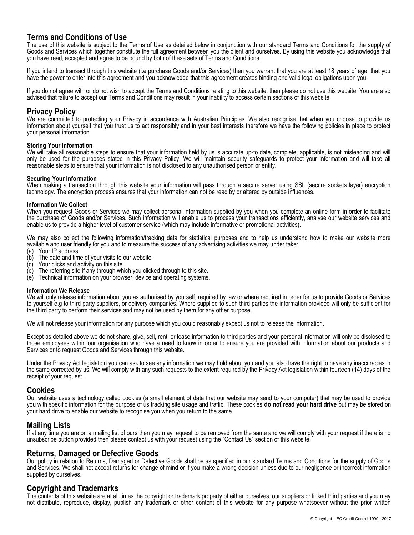# Terms and Conditions of Use

The use of this website is subject to the Terms of Use as detailed below in conjunction with our standard Terms and Conditions for the supply of Goods and Services which together constitute the full agreement between you the client and ourselves. By using this website you acknowledge that you have read, accepted and agree to be bound by both of these sets of Terms and Conditions.

If you intend to transact through this website (i.e purchase Goods and/or Services) then you warrant that you are at least 18 years of age, that you have the power to enter into this agreement and you acknowledge that this agreement creates binding and valid legal obligations upon you.

If you do not agree with or do not wish to accept the Terms and Conditions relating to this website, then please do not use this website. You are also advised that failure to accept our Terms and Conditions may result in your inability to access certain sections of this website.

# Privacy Policy

We are committed to protecting your Privacy in accordance with Australian Principles. We also recognise that when you choose to provide us information about yourself that you trust us to act responsibly and in your best interests therefore we have the following policies in place to protect your personal information.

### Storing Your Information

We will take all reasonable steps to ensure that your information held by us is accurate up-to date, complete, applicable, is not misleading and will only be used for the purposes stated in this Privacy Policy. We will maintain security safeguards to protect your information and will take all reasonable steps to ensure that your information is not disclosed to any unauthorised person or entity.

### Securing Your Information

When making a transaction through this website your information will pass through a secure server using SSL (secure sockets layer) encryption technology. The encryption process ensures that your information can not be read by or altered by outside influences.

### Information We Collect

When you request Goods or Services we may collect personal information supplied by you when you complete an online form in order to facilitate the purchase of Goods and/or Services. Such information will enable us to process your transactions efficiently, analyse our website services and enable us to provide a higher level of customer service (which may include informative or promotional activities).

We may also collect the following information/tracking data for statistical purposes and to help us understand how to make our website more available and user friendly for you and to measure the success of any advertising activities we may under take:

- (a) Your IP address.
- (b) The date and time of your visits to our website.
- (c) Your clicks and activity on this site.<br>(d) The referring site if any through whi
- The referring site if any through which you clicked through to this site.
- (e) Technical information on your browser, device and operating systems.

### Information We Release

We will only release information about you as authorised by yourself, required by law or where required in order for us to provide Goods or Services to yourself e.g to third party suppliers, or delivery companies. Where supplied to such third parties the information provided will only be sufficient for the third party to perform their services and may not be used by them for any other purpose.

We will not release your information for any purpose which you could reasonably expect us not to release the information.

Except as detailed above we do not share, give, sell, rent, or lease information to third parties and your personal information will only be disclosed to those employees within our organisation who have a need to know in order to ensure you are provided with information about our products and Services or to request Goods and Services through this website.

Under the Privacy Act legislation you can ask to see any information we may hold about you and you also have the right to have any inaccuracies in the same corrected by us. We will comply with any such requests to the extent required by the Privacy Act legislation within fourteen (14) days of the receipt of your request.

### Cookies

Our website uses a technology called cookies (a small element of data that our website may send to your computer) that may be used to provide you with specific information for the purpose of us tracking site usage and traffic. These cookies do not read your hard drive but may be stored on your hard drive to enable our website to recognise you when you return to the same. Ī

## Mailing Lists

If at any time you are on a mailing list of ours then you may request to be removed from the same and we will comply with your request if there is no unsubscribe button provided then please contact us with your request using the "Contact Us" section of this website.

## Returns, Damaged or Defective Goods

Our policy in relation to Returns, Damaged or Defective Goods shall be as specified in our standard Terms and Conditions for the supply of Goods and Services. We shall not accept returns for change of mind or if you make a wrong decision unless due to our negligence or incorrect information supplied by ourselves.

### Copyright and Trademarks

The contents of this website are at all times the copyright or trademark property of either ourselves, our suppliers or linked third parties and you may not distribute, reproduce, display, publish any trademark or other content of this website for any purpose whatsoever without the prior written